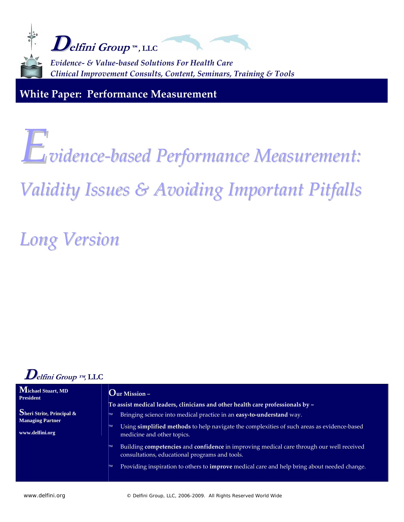

**White Paper: Performance Measurement**

# *Evidence‐based Performance Measurement:*

## *Validity Issues & Avoiding Important Pitfalls*

*Long Version*



| Michael Stuart, MD<br><b>President</b>     | $\mathbf{O}$ ur Mission –                                                                                                                                                |  |
|--------------------------------------------|--------------------------------------------------------------------------------------------------------------------------------------------------------------------------|--|
| Sheri Strite, Principal &                  | To assist medical leaders, clinicians and other health care professionals by $\sim$<br>Bringing science into medical practice in an easy-to-understand way.<br><b>TM</b> |  |
| <b>Managing Partner</b><br>www.delfini.org | Using simplified methods to help navigate the complexities of such areas as evidence-based<br><b>TM</b><br>medicine and other topics.                                    |  |
|                                            | Building competencies and confidence in improving medical care through our well received<br><b>TM</b><br>consultations, educational programs and tools.                  |  |
|                                            | Providing inspiration to others to <i>improve</i> medical care and help bring about needed change.<br><b>TM</b>                                                          |  |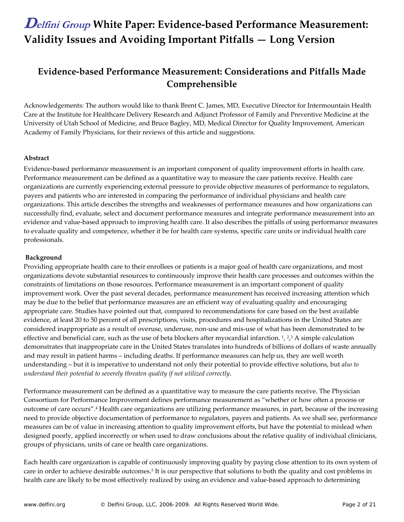### **Evidence‐based Performance Measurement: Considerations and Pitfalls Made Comprehensible**

Acknowledgements: The authors would like to thank Brent C. James, MD, Executive Director for Intermountain Health Care at the Institute for Healthcare Delivery Research and Adjunct Professor of Family and Preventive Medicine at the University of Utah School of Medicine, and Bruce Bagley, MD, Medical Director for Quality Improvement, American Academy of Family Physicians, for their reviews of this article and suggestions.

#### **Abstract**

Evidence‐based performance measurement is an important component of quality improvement efforts in health care. Performance measurement can be defined as a quantitative way to measure the care patients receive. Health care organizations are currently experiencing external pressure to provide objective measures of performance to regulators, payers and patients who are interested in comparing the performance of individual physicians and health care organizations. This article describes the strengths and weaknesses of performance measures and how organizations can successfully find, evaluate, select and document performance measures and integrate performance measurement into an evidence and value‐based approach to improving health care. It also describes the pitfalls of using performance measures to evaluate quality and competence, whether it be for health care systems, specific care units or individual health care professionals.

#### **Background**

Providing appropriate health care to their enrollees or patients is a major goal of health care organizations, and most organizations devote substantial resources to continuously improve their health care processes and outcomes within the constraints of limitations on those resources. Performance measurement is an important component of quality improvement work. Over the past several decades, performance measurement has received increasing attention which may be due to the belief that performance measures are an efficient way of evaluating quality and encouraging appropriate care. Studies have pointed out that, compared to recommendations for care based on the best available evidence, at least 20 to 50 percent of all prescriptions, visits, procedures and hospitalizations in the United States are considered inappropriate as a result of overuse, underuse, non‐use and mis‐use of what has been demonstrated to be effective and beneficial care, such as the use of beta blockers after myocardial infarction.  $1, 2, 3$  A simple calculation demonstrates that inappropriate care in the United States translates into hundreds of billions of dollars of waste annually and may result in patient harms – including deaths. If performance measures can help us, they are well worth understanding – but it is imperative to understand not only their potential to provide effective solutions, but *also to understand their potential to severely threaten quality if not utilized correctly*.

Performance measurement can be defined as a quantitative way to measure the care patients receive. The Physician Consortium for Performance Improvement defines performance measurement as "whether or how often a process or outcome of care occurs".4 Health care organizations are utilizing performance measures, in part, because of the increasing need to provide objective documentation of performance to regulators, payers and patients. As we shall see, performance measures can be of value in increasing attention to quality improvement efforts, but have the potential to mislead when designed poorly, applied incorrectly or when used to draw conclusions about the relative quality of individual clinicians, groups of physicians, units of care or health care organizations.

Each health care organization is capable of continuously improving quality by paying close attention to its own system of care in order to achieve desirable outcomes.5 It is our perspective that solutions to both the quality and cost problems in health care are likely to be most effectively realized by using an evidence and value‐based approach to determining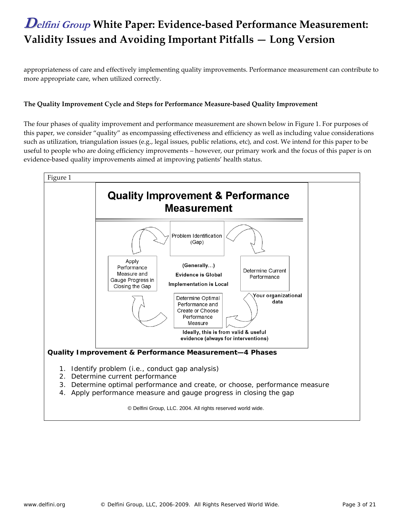appropriateness of care and effectively implementing quality improvements. Performance measurement can contribute to more appropriate care, when utilized correctly.

### **The Quality Improvement Cycle and Steps for Performance Measure‐based Quality Improvement**

The four phases of quality improvement and performance measurement are shown below in Figure 1. For purposes of this paper, we consider "quality" as encompassing effectiveness and efficiency as well as including value considerations such as utilization, triangulation issues (e.g., legal issues, public relations, etc), and cost. We intend for this paper to be useful to people who are doing efficiency improvements – however, our primary work and the focus of this paper is on evidence-based quality improvements aimed at improving patients' health status.

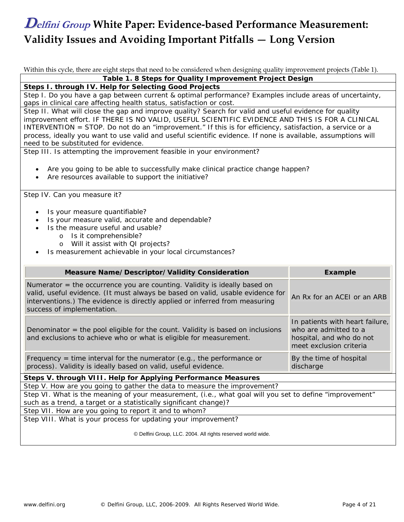Within this cycle, there are eight steps that need to be considered when designing quality improvement projects (Table 1).

**Table 1. 8 Steps for Quality Improvement Project Design**

**Steps I. through IV. Help for Selecting Good Projects**

Step I. Do you have a gap between current & optimal performance? Examples include areas of uncertainty, gaps in clinical care affecting health status, satisfaction or cost.

Step II. What will close the gap and improve quality? Search for valid and useful evidence for quality improvement effort. IF THERE IS NO VALID, USEFUL SCIENTIFIC EVIDENCE AND THIS IS FOR A CLINICAL INTERVENTION = STOP. Do not do an "improvement." If this is for efficiency, satisfaction, a service or a process, ideally you want to use valid and useful scientific evidence. If none is available, assumptions will need to be substituted for evidence.

Step III. Is attempting the improvement feasible in your environment?

- Are you going to be able to successfully make clinical practice change happen?
- Are resources available to support the initiative?

Step IV. Can you measure it?

- Is your measure quantifiable?
- Is your measure valid, accurate and dependable?
	- Is the measure useful and usable?
		- o Is it comprehensible?
			- o Will it assist with QI projects?
- Is measurement achievable in your local circumstances?

| <b>Measure Name/Descriptor/Validity Consideration</b>                                                                                                                                                                                                                      | <b>Example</b>                                                                                                  |
|----------------------------------------------------------------------------------------------------------------------------------------------------------------------------------------------------------------------------------------------------------------------------|-----------------------------------------------------------------------------------------------------------------|
| Numerator $=$ the occurrence you are counting. Validity is ideally based on<br>valid, useful evidence. (It must always be based on valid, usable evidence for<br>interventions.) The evidence is directly applied or inferred from measuring<br>success of implementation. | An Rx for an ACEI or an ARB                                                                                     |
| Denominator = the pool eligible for the count. Validity is based on inclusions<br>and exclusions to achieve who or what is eligible for measurement.                                                                                                                       | In patients with heart failure,<br>who are admitted to a<br>hospital, and who do not<br>meet exclusion criteria |
| Frequency = time interval for the numerator (e.g., the performance or<br>process). Validity is ideally based on valid, useful evidence.                                                                                                                                    | By the time of hospital<br>discharge                                                                            |
| Steps V. through VIII. Help for Applying Performance Measures                                                                                                                                                                                                              |                                                                                                                 |
| Step V. How are you going to gather the data to measure the improvement?                                                                                                                                                                                                   |                                                                                                                 |

Step VI. What is the meaning of your measurement, (i.e., what goal will you set to define "improvement" such as a trend, a target or a statistically significant change)?

Step VII. How are you going to report it and to whom?

Step VIII. What is your process for updating your improvement?

© Delfini Group, LLC. 2004. All rights reserved world wide.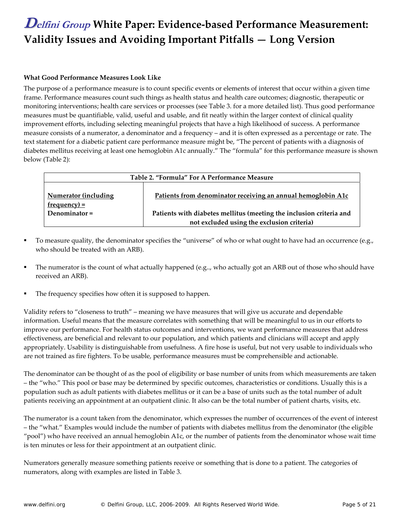#### **What Good Performance Measures Look Like**

The purpose of a performance measure is to count specific events or elements of interest that occur within a given time frame. Performance measures count such things as health status and health care outcomes; diagnostic, therapeutic or monitoring interventions; health care services or processes (see Table 3. for a more detailed list). Thus good performance measures must be quantifiable, valid, useful and usable, and fit neatly within the larger context of clinical quality improvement efforts, including selecting meaningful projects that have a high likelihood of success. A performance measure consists of a numerator, a denominator and a frequency – and it is often expressed as a percentage or rate. The text statement for a diabetic patient care performance measure might be, "The percent of patients with a diagnosis of diabetes mellitus receiving at least one hemoglobin A1c annually." The "formula" for this performance measure is shown below (Table 2):

| Table 2. "Formula" For A Performance Measure |                                                                                                                   |  |  |
|----------------------------------------------|-------------------------------------------------------------------------------------------------------------------|--|--|
| <b>Numerator (including</b><br>$frequency =$ | Patients from denominator receiving an annual hemoglobin A1c                                                      |  |  |
| Denominator $=$                              | Patients with diabetes mellitus (meeting the inclusion criteria and<br>not excluded using the exclusion criteria) |  |  |

- To measure quality, the denominator specifies the "universe" of who or what ought to have had an occurrence (e.g., who should be treated with an ARB).
- The numerator is the count of what actually happened (e.g.., who actually got an ARB out of those who should have received an ARB).
- The frequency specifies how often it is supposed to happen.

Validity refers to "closeness to truth" – meaning we have measures that will give us accurate and dependable information. Useful means that the measure correlates with something that will be meaningful to us in our efforts to improve our performance. For health status outcomes and interventions, we want performance measures that address effectiveness, are beneficial and relevant to our population, and which patients and clinicians will accept and apply appropriately. Usability is distinguishable from usefulness. A fire hose is useful, but not very usable to individuals who are not trained as fire fighters. To be usable, performance measures must be comprehensible and actionable.

The denominator can be thought of as the pool of eligibility or base number of units from which measurements are taken – the "who." This pool or base may be determined by specific outcomes, characteristics or conditions. Usually this is a population such as adult patients with diabetes mellitus or it can be a base of units such as the total number of adult patients receiving an appointment at an outpatient clinic. It also can be the total number of patient charts, visits, etc.

The numerator is a count taken from the denominator, which expresses the number of occurrences of the event of interest – the "what." Examples would include the number of patients with diabetes mellitus from the denominator (the eligible "pool") who have received an annual hemoglobin A1c, or the number of patients from the denominator whose wait time is ten minutes or less for their appointment at an outpatient clinic.

Numerators generally measure something patients receive or something that is done to a patient. The categories of numerators, along with examples are listed in Table 3.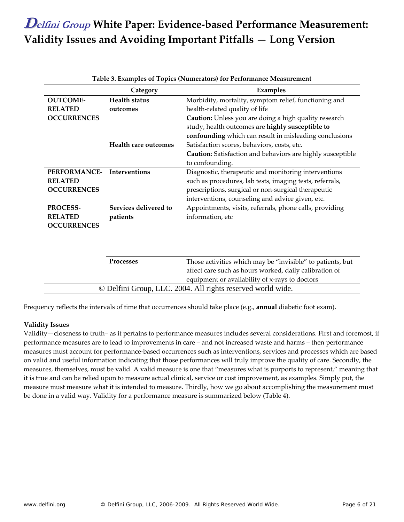| Table 3. Examples of Topics (Numerators) for Performance Measurement |                             |                                                            |  |  |
|----------------------------------------------------------------------|-----------------------------|------------------------------------------------------------|--|--|
|                                                                      | Category                    | Examples                                                   |  |  |
| <b>OUTCOME-</b>                                                      | <b>Health status</b>        | Morbidity, mortality, symptom relief, functioning and      |  |  |
| <b>RELATED</b>                                                       | outcomes                    | health-related quality of life                             |  |  |
| <b>OCCURRENCES</b>                                                   |                             | Caution: Unless you are doing a high quality research      |  |  |
|                                                                      |                             | study, health outcomes are highly susceptible to           |  |  |
|                                                                      |                             | confounding which can result in misleading conclusions     |  |  |
|                                                                      | <b>Health care outcomes</b> | Satisfaction scores, behaviors, costs, etc.                |  |  |
|                                                                      |                             | Caution: Satisfaction and behaviors are highly susceptible |  |  |
|                                                                      |                             | to confounding.                                            |  |  |
| <b>PERFORMANCE-</b>                                                  | <b>Interventions</b>        | Diagnostic, therapeutic and monitoring interventions       |  |  |
| <b>RELATED</b>                                                       |                             | such as procedures, lab tests, imaging tests, referrals,   |  |  |
| <b>OCCURRENCES</b>                                                   |                             | prescriptions, surgical or non-surgical therapeutic        |  |  |
|                                                                      |                             | interventions, counseling and advice given, etc.           |  |  |
| PROCESS-                                                             | Services delivered to       | Appointments, visits, referrals, phone calls, providing    |  |  |
| <b>RELATED</b>                                                       | patients                    | information, etc                                           |  |  |
| <b>OCCURRENCES</b>                                                   |                             |                                                            |  |  |
|                                                                      |                             |                                                            |  |  |
|                                                                      |                             |                                                            |  |  |
|                                                                      |                             |                                                            |  |  |
|                                                                      | Processes                   | Those activities which may be "invisible" to patients, but |  |  |
|                                                                      |                             | affect care such as hours worked, daily calibration of     |  |  |
|                                                                      |                             | equipment or availability of x-rays to doctors             |  |  |
| © Delfini Group, LLC. 2004. All rights reserved world wide.          |                             |                                                            |  |  |

Frequency reflects the intervals of time that occurrences should take place (e.g., **annual** diabetic foot exam).

### **Validity Issues**

Validity—closeness to truth– as it pertains to performance measures includes several considerations. First and foremost, if performance measures are to lead to improvements in care – and not increased waste and harms – then performance measures must account for performance‐based occurrences such as interventions, services and processes which are based on valid and useful information indicating that those performances will truly improve the quality of care. Secondly, the measures, themselves, must be valid. A valid measure is one that "measures what is purports to represent," meaning that it is true and can be relied upon to measure actual clinical, service or cost improvement, as examples. Simply put, the measure must measure what it is intended to measure. Thirdly, how we go about accomplishing the measurement must be done in a valid way. Validity for a performance measure is summarized below (Table 4).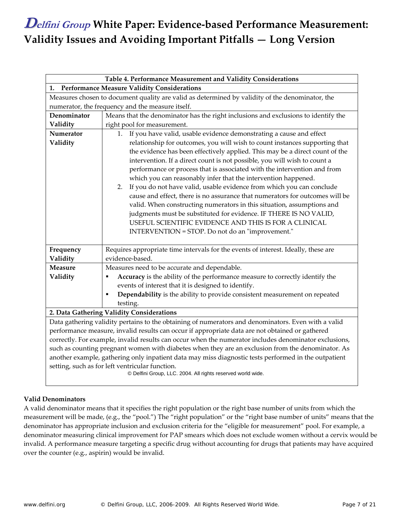| Table 4. Performance Measurement and Validity Considerations                                                   |                                                                                                                                                                                                                                                                                                                                                                                                                                                                                                                                                                                                                                                                                                                                                                                                                   |  |  |  |
|----------------------------------------------------------------------------------------------------------------|-------------------------------------------------------------------------------------------------------------------------------------------------------------------------------------------------------------------------------------------------------------------------------------------------------------------------------------------------------------------------------------------------------------------------------------------------------------------------------------------------------------------------------------------------------------------------------------------------------------------------------------------------------------------------------------------------------------------------------------------------------------------------------------------------------------------|--|--|--|
| <b>Performance Measure Validity Considerations</b><br>1.                                                       |                                                                                                                                                                                                                                                                                                                                                                                                                                                                                                                                                                                                                                                                                                                                                                                                                   |  |  |  |
|                                                                                                                | Measures chosen to document quality are valid as determined by validity of the denominator, the                                                                                                                                                                                                                                                                                                                                                                                                                                                                                                                                                                                                                                                                                                                   |  |  |  |
|                                                                                                                | numerator, the frequency and the measure itself.                                                                                                                                                                                                                                                                                                                                                                                                                                                                                                                                                                                                                                                                                                                                                                  |  |  |  |
| Denominator                                                                                                    | Means that the denominator has the right inclusions and exclusions to identify the                                                                                                                                                                                                                                                                                                                                                                                                                                                                                                                                                                                                                                                                                                                                |  |  |  |
| Validity                                                                                                       | right pool for measurement.                                                                                                                                                                                                                                                                                                                                                                                                                                                                                                                                                                                                                                                                                                                                                                                       |  |  |  |
| Numerator                                                                                                      | If you have valid, usable evidence demonstrating a cause and effect<br>1.                                                                                                                                                                                                                                                                                                                                                                                                                                                                                                                                                                                                                                                                                                                                         |  |  |  |
| Validity                                                                                                       | relationship for outcomes, you will wish to count instances supporting that<br>the evidence has been effectively applied. This may be a direct count of the<br>intervention. If a direct count is not possible, you will wish to count a<br>performance or process that is associated with the intervention and from<br>which you can reasonably infer that the intervention happened.<br>If you do not have valid, usable evidence from which you can conclude<br>2.<br>cause and effect, there is no assurance that numerators for outcomes will be<br>valid. When constructing numerators in this situation, assumptions and<br>judgments must be substituted for evidence. IF THERE IS NO VALID,<br>USEFUL SCIENTIFIC EVIDENCE AND THIS IS FOR A CLINICAL<br>INTERVENTION = STOP. Do not do an "improvement." |  |  |  |
| Frequency                                                                                                      | Requires appropriate time intervals for the events of interest. Ideally, these are<br>evidence-based.                                                                                                                                                                                                                                                                                                                                                                                                                                                                                                                                                                                                                                                                                                             |  |  |  |
| Validity<br><b>Measure</b>                                                                                     | Measures need to be accurate and dependable.                                                                                                                                                                                                                                                                                                                                                                                                                                                                                                                                                                                                                                                                                                                                                                      |  |  |  |
| Validity                                                                                                       | ٠                                                                                                                                                                                                                                                                                                                                                                                                                                                                                                                                                                                                                                                                                                                                                                                                                 |  |  |  |
|                                                                                                                | Accuracy is the ability of the performance measure to correctly identify the<br>events of interest that it is designed to identify.                                                                                                                                                                                                                                                                                                                                                                                                                                                                                                                                                                                                                                                                               |  |  |  |
|                                                                                                                | Dependability is the ability to provide consistent measurement on repeated                                                                                                                                                                                                                                                                                                                                                                                                                                                                                                                                                                                                                                                                                                                                        |  |  |  |
|                                                                                                                | testing.                                                                                                                                                                                                                                                                                                                                                                                                                                                                                                                                                                                                                                                                                                                                                                                                          |  |  |  |
|                                                                                                                | 2. Data Gathering Validity Considerations                                                                                                                                                                                                                                                                                                                                                                                                                                                                                                                                                                                                                                                                                                                                                                         |  |  |  |
|                                                                                                                | Data gathering validity pertains to the obtaining of numerators and denominators. Even with a valid                                                                                                                                                                                                                                                                                                                                                                                                                                                                                                                                                                                                                                                                                                               |  |  |  |
| performance measure, invalid results can occur if appropriate data are not obtained or gathered                |                                                                                                                                                                                                                                                                                                                                                                                                                                                                                                                                                                                                                                                                                                                                                                                                                   |  |  |  |
| correctly. For example, invalid results can occur when the numerator includes denominator exclusions,          |                                                                                                                                                                                                                                                                                                                                                                                                                                                                                                                                                                                                                                                                                                                                                                                                                   |  |  |  |
| such as counting pregnant women with diabetes when they are an exclusion from the denominator. As              |                                                                                                                                                                                                                                                                                                                                                                                                                                                                                                                                                                                                                                                                                                                                                                                                                   |  |  |  |
| another example, gathering only inpatient data may miss diagnostic tests performed in the outpatient           |                                                                                                                                                                                                                                                                                                                                                                                                                                                                                                                                                                                                                                                                                                                                                                                                                   |  |  |  |
| setting, such as for left ventricular function.<br>© Delfini Group, LLC. 2004. All rights reserved world wide. |                                                                                                                                                                                                                                                                                                                                                                                                                                                                                                                                                                                                                                                                                                                                                                                                                   |  |  |  |

### **Valid Denominators**

A valid denominator means that it specifies the right population or the right base number of units from which the measurement will be made, (e.g., the "pool.") The "right population" or the "right base number of units" means that the denominator has appropriate inclusion and exclusion criteria for the "eligible for measurement" pool. For example, a denominator measuring clinical improvement for PAP smears which does not exclude women without a cervix would be invalid. A performance measure targeting a specific drug without accounting for drugs that patients may have acquired over the counter (e.g., aspirin) would be invalid.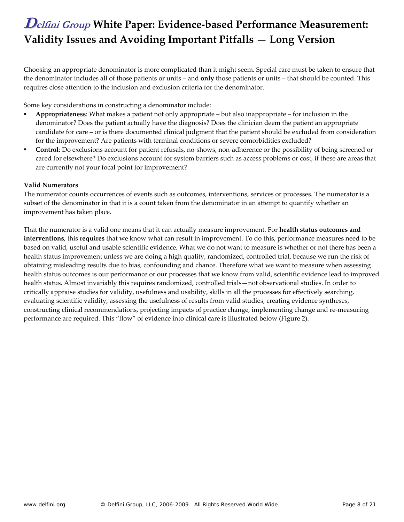Choosing an appropriate denominator is more complicated than it might seem. Special care must be taken to ensure that the denominator includes all of those patients or units – and **only** those patients or units – that should be counted. This requires close attention to the inclusion and exclusion criteria for the denominator.

Some key considerations in constructing a denominator include:

- **Appropriateness**: What makes a patient not only appropriate but also inappropriate for inclusion in the denominator? Does the patient actually have the diagnosis? Does the clinician deem the patient an appropriate candidate for care – or is there documented clinical judgment that the patient should be excluded from consideration for the improvement? Are patients with terminal conditions or severe comorbidities excluded?
- **Control**: Do exclusions account for patient refusals, no-shows, non-adherence or the possibility of being screened or cared for elsewhere? Do exclusions account for system barriers such as access problems or cost, if these are areas that are currently not your focal point for improvement?

### **Valid Numerators**

The numerator counts occurrences of events such as outcomes, interventions, services or processes. The numerator is a subset of the denominator in that it is a count taken from the denominator in an attempt to quantify whether an improvement has taken place.

That the numerator is a valid one means that it can actually measure improvement. For **health status outcomes and interventions**, this **requires** that we know what can result in improvement. To do this, performance measures need to be based on valid, useful and usable scientific evidence. What we do not want to measure is whether or not there has been a health status improvement unless we are doing a high quality, randomized, controlled trial, because we run the risk of obtaining misleading results due to bias, confounding and chance. Therefore what we want to measure when assessing health status outcomes is our performance or our processes that we know from valid, scientific evidence lead to improved health status. Almost invariably this requires randomized, controlled trials—not observational studies. In order to critically appraise studies for validity, usefulness and usability, skills in all the processes for effectively searching, evaluating scientific validity, assessing the usefulness of results from valid studies, creating evidence syntheses, constructing clinical recommendations, projecting impacts of practice change, implementing change and re‐measuring performance are required. This "flow" of evidence into clinical care is illustrated below (Figure 2).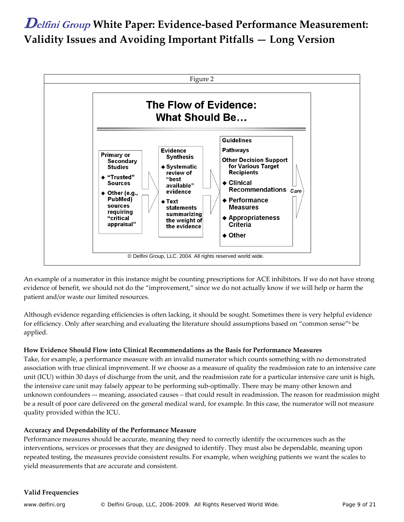

An example of a numerator in this instance might be counting prescriptions for ACE inhibitors. If we do not have strong evidence of benefit, we should not do the "improvement," since we do not actually know if we will help or harm the patient and/or waste our limited resources.

Although evidence regarding efficiencies is often lacking, it should be sought. Sometimes there is very helpful evidence for efficiency. Only after searching and evaluating the literature should assumptions based on "common sense"<sup>6</sup> be applied.

### **How Evidence Should Flow into Clinical Recommendations as the Basis for Performance Measures**

Take, for example, a performance measure with an invalid numerator which counts something with no demonstrated association with true clinical improvement. If we choose as a measure of quality the readmission rate to an intensive care unit (ICU) within 30 days of discharge from the unit, and the readmission rate for a particular intensive care unit is high, the intensive care unit may falsely appear to be performing sub‐optimally. There may be many other known and unknown confounders –‐ meaning, associated causes – that could result in readmission. The reason for readmission might be a result of poor care delivered on the general medical ward, for example. In this case, the numerator will not measure quality provided within the ICU.

#### **Accuracy and Dependability of the Performance Measure**

Performance measures should be accurate, meaning they need to correctly identify the occurrences such as the interventions, services or processes that they are designed to identify. They must also be dependable, meaning upon repeated testing, the measures provide consistent results. For example, when weighing patients we want the scales to yield measurements that are accurate and consistent.

### **Valid Frequencies**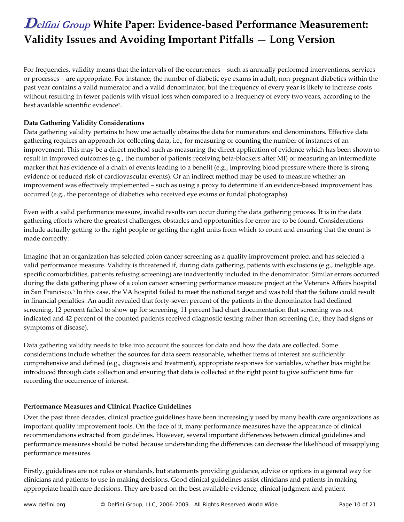For frequencies, validity means that the intervals of the occurrences – such as annually performed interventions, services or processes – are appropriate. For instance, the number of diabetic eye exams in adult, non‐pregnant diabetics within the past year contains a valid numerator and a valid denominator, but the frequency of every year is likely to increase costs without resulting in fewer patients with visual loss when compared to a frequency of every two years, according to the best available scientific evidence7.

### **Data Gathering Validity Considerations**

Data gathering validity pertains to how one actually obtains the data for numerators and denominators. Effective data gathering requires an approach for collecting data, i.e., for measuring or counting the number of instances of an improvement. This may be a direct method such as measuring the direct application of evidence which has been shown to result in improved outcomes (e.g., the number of patients receiving beta‐blockers after MI) or measuring an intermediate marker that has evidence of a chain of events leading to a benefit (e.g., improving blood pressure where there is strong evidence of reduced risk of cardiovascular events). Or an indirect method may be used to measure whether an improvement was effectively implemented – such as using a proxy to determine if an evidence-based improvement has occurred (e.g., the percentage of diabetics who received eye exams or fundal photographs).

Even with a valid performance measure, invalid results can occur during the data gathering process. It is in the data gathering efforts where the greatest challenges, obstacles and opportunities for error are to be found. Considerations include actually getting to the right people or getting the right units from which to count and ensuring that the count is made correctly.

Imagine that an organization has selected colon cancer screening as a quality improvement project and has selected a valid performance measure. Validity is threatened if, during data gathering, patients with exclusions (e.g., ineligible age, specific comorbidities, patients refusing screening) are inadvertently included in the denominator. Similar errors occurred during the data gathering phase of a colon cancer screening performance measure project at the Veterans Affairs hospital in San Francisco.8 In this case, the VA hospital failed to meet the national target and was told that the failure could result in financial penalties. An audit revealed that forty‐seven percent of the patients in the denominator had declined screening, 12 percent failed to show up for screening, 11 percent had chart documentation that screening was not indicated and 42 percent of the counted patients received diagnostic testing rather than screening (i.e., they had signs or symptoms of disease).

Data gathering validity needs to take into account the sources for data and how the data are collected. Some considerations include whether the sources for data seem reasonable, whether items of interest are sufficiently comprehensive and defined (e.g., diagnosis and treatment), appropriate responses for variables, whether bias might be introduced through data collection and ensuring that data is collected at the right point to give sufficient time for recording the occurrence of interest.

### **Performance Measures and Clinical Practice Guidelines**

Over the past three decades, clinical practice guidelines have been increasingly used by many health care organizations as important quality improvement tools. On the face of it, many performance measures have the appearance of clinical recommendations extracted from guidelines. However, several important differences between clinical guidelines and performance measures should be noted because understanding the differences can decrease the likelihood of misapplying performance measures.

Firstly, guidelines are not rules or standards, but statements providing guidance, advice or options in a general way for clinicians and patients to use in making decisions. Good clinical guidelines assist clinicians and patients in making appropriate health care decisions. They are based on the best available evidence, clinical judgment and patient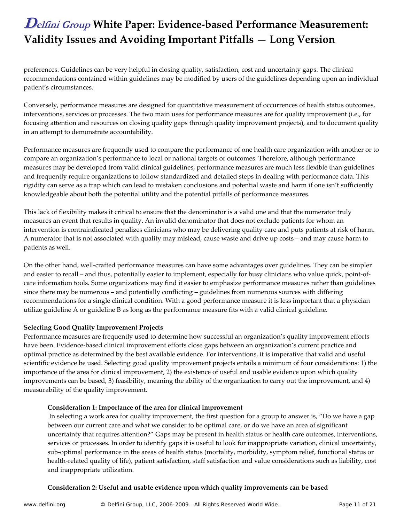preferences. Guidelines can be very helpful in closing quality, satisfaction, cost and uncertainty gaps. The clinical recommendations contained within guidelines may be modified by users of the guidelines depending upon an individual patient's circumstances.

Conversely, performance measures are designed for quantitative measurement of occurrences of health status outcomes, interventions, services or processes. The two main uses for performance measures are for quality improvement (i.e., for focusing attention and resources on closing quality gaps through quality improvement projects), and to document quality in an attempt to demonstrate accountability.

Performance measures are frequently used to compare the performance of one health care organization with another or to compare an organization's performance to local or national targets or outcomes. Therefore, although performance measures may be developed from valid clinical guidelines, performance measures are much less flexible than guidelines and frequently require organizations to follow standardized and detailed steps in dealing with performance data. This rigidity can serve as a trap which can lead to mistaken conclusions and potential waste and harm if one isn't sufficiently knowledgeable about both the potential utility and the potential pitfalls of performance measures.

This lack of flexibility makes it critical to ensure that the denominator is a valid one and that the numerator truly measures an event that results in quality. An invalid denominator that does not exclude patients for whom an intervention is contraindicated penalizes clinicians who may be delivering quality care and puts patients at risk of harm. A numerator that is not associated with quality may mislead, cause waste and drive up costs – and may cause harm to patients as well.

On the other hand, well‐crafted performance measures can have some advantages over guidelines. They can be simpler and easier to recall – and thus, potentially easier to implement, especially for busy clinicians who value quick, point-ofcare information tools. Some organizations may find it easier to emphasize performance measures rather than guidelines since there may be numerous – and potentially conflicting – guidelines from numerous sources with differing recommendations for a single clinical condition. With a good performance measure it is less important that a physician utilize guideline A or guideline B as long as the performance measure fits with a valid clinical guideline.

### **Selecting Good Quality Improvement Projects**

Performance measures are frequently used to determine how successful an organization's quality improvement efforts have been. Evidence-based clinical improvement efforts close gaps between an organization's current practice and optimal practice as determined by the best available evidence. For interventions, it is imperative that valid and useful scientific evidence be used. Selecting good quality improvement projects entails a minimum of four considerations: 1) the importance of the area for clinical improvement, 2) the existence of useful and usable evidence upon which quality improvements can be based, 3) feasibility, meaning the ability of the organization to carry out the improvement, and 4) measurability of the quality improvement.

### **Consideration 1: Importance of the area for clinical improvement**

In selecting a work area for quality improvement, the first question for a group to answer is, "Do we have a gap between our current care and what we consider to be optimal care, or do we have an area of significant uncertainty that requires attention?" Gaps may be present in health status or health care outcomes, interventions, services or processes. In order to identify gaps it is useful to look for inappropriate variation, clinical uncertainty, sub-optimal performance in the areas of health status (mortality, morbidity, symptom relief, functional status or health-related quality of life), patient satisfaction, staff satisfaction and value considerations such as liability, cost and inappropriate utilization.

### **Consideration 2: Useful and usable evidence upon which quality improvements can be based**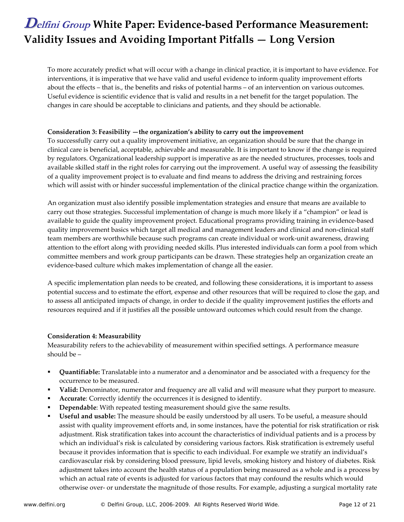To more accurately predict what will occur with a change in clinical practice, it is important to have evidence. For interventions, it is imperative that we have valid and useful evidence to inform quality improvement efforts about the effects – that is., the benefits and risks of potential harms – of an intervention on various outcomes. Useful evidence is scientific evidence that is valid and results in a net benefit for the target population. The changes in care should be acceptable to clinicians and patients, and they should be actionable.

#### **Consideration 3: Feasibility —the organization's ability to carry out the improvement**

To successfully carry out a quality improvement initiative, an organization should be sure that the change in clinical care is beneficial, acceptable, achievable and measurable. It is important to know if the change is required by regulators. Organizational leadership support is imperative as are the needed structures, processes, tools and available skilled staff in the right roles for carrying out the improvement. A useful way of assessing the feasibility of a quality improvement project is to evaluate and find means to address the driving and restraining forces which will assist with or hinder successful implementation of the clinical practice change within the organization.

An organization must also identify possible implementation strategies and ensure that means are available to carry out those strategies. Successful implementation of change is much more likely if a "champion" or lead is available to guide the quality improvement project. Educational programs providing training in evidence‐based quality improvement basics which target all medical and management leaders and clinical and non‐clinical staff team members are worthwhile because such programs can create individual or work-unit awareness, drawing attention to the effort along with providing needed skills. Plus interested individuals can form a pool from which committee members and work group participants can be drawn. These strategies help an organization create an evidence-based culture which makes implementation of change all the easier.

A specific implementation plan needs to be created, and following these considerations, it is important to assess potential success and to estimate the effort, expense and other resources that will be required to close the gap, and to assess all anticipated impacts of change, in order to decide if the quality improvement justifies the efforts and resources required and if it justifies all the possible untoward outcomes which could result from the change.

### **Consideration 4: Measurability**

Measurability refers to the achievability of measurement within specified settings. A performance measure should be –

- **Quantifiable:** Translatable into a numerator and a denominator and be associated with a frequency for the occurrence to be measured.
- **Valid:** Denominator, numerator and frequency are all valid and will measure what they purport to measure.
- **Accurate**: Correctly identify the occurrences it is designed to identify.
- **Dependable**: With repeated testing measurement should give the same results.
- **Useful and usable:** The measure should be easily understood by all users. To be useful, a measure should assist with quality improvement efforts and, in some instances, have the potential for risk stratification or risk adjustment. Risk stratification takes into account the characteristics of individual patients and is a process by which an individual's risk is calculated by considering various factors. Risk stratification is extremely useful because it provides information that is specific to each individual. For example we stratify an individual's cardiovascular risk by considering blood pressure, lipid levels, smoking history and history of diabetes. Risk adjustment takes into account the health status of a population being measured as a whole and is a process by which an actual rate of events is adjusted for various factors that may confound the results which would otherwise over‐ or understate the magnitude of those results. For example, adjusting a surgical mortality rate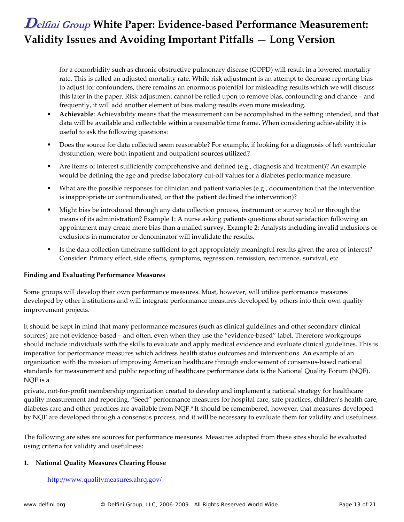for a comorbidity such as chronic obstructive pulmonary disease (COPD) will result in a lowered mortality rate. This is called an adjusted mortality rate. While risk adjustment is an attempt to decrease reporting bias to adjust for confounders, there remains an enormous potential for misleading results which we will discuss this later in the paper. Risk adjustment cannot be relied upon to remove bias, confounding and chance – and frequently, it will add another element of bias making results even more misleading.

- **Achievable**: Achievability means that the measurement can be accomplished in the setting intended, and that data will be available and collectable within a reasonable time frame. When considering achievability it is useful to ask the following questions:
- Does the source for data collected seem reasonable? For example, if looking for a diagnosis of left ventricular dysfunction, were both inpatient and outpatient sources utilized?
- Are items of interest sufficiently comprehensive and defined (e.g., diagnosis and treatment)? An example would be defining the age and precise laboratory cut-off values for a diabetes performance measure.
- What are the possible responses for clinician and patient variables (e.g., documentation that the intervention is inappropriate or contraindicated, or that the patient declined the intervention)?
- Might bias be introduced through any data collection process, instrument or survey tool or through the means of its administration? Example 1: A nurse asking patients questions about satisfaction following an appointment may create more bias than a mailed survey. Example 2: Analysts including invalid inclusions or exclusions in numerator or denominator will invalidate the results.
- Is the data collection timeframe sufficient to get appropriately meaningful results given the area of interest? Consider: Primary effect, side effects, symptoms, regression, remission, recurrence, survival, etc.

### **Finding and Evaluating Performance Measures**

Some groups will develop their own performance measures. Most, however, will utilize performance measures developed by other institutions and will integrate performance measures developed by others into their own quality improvement projects.

It should be kept in mind that many performance measures (such as clinical guidelines and other secondary clinical sources) are not evidence-based – and often, even when they use the "evidence-based" label. Therefore workgroups should include individuals with the skills to evaluate and apply medical evidence and evaluate clinical guidelines. This is imperative for performance measures which address health status outcomes and interventions. An example of an organization with the mission of improving American healthcare through endorsement of consensus‐based national standards for measurement and public reporting of healthcare performance data is the National Quality Forum (NQF). NQF is a

private, not-for-profit membership organization created to develop and implement a national strategy for healthcare quality measurement and reporting. "Seed" performance measures for hospital care, safe practices, children's health care, diabetes care and other practices are available from NQF.9 It should be remembered, however, that measures developed by NQF are developed through a consensus process, and it will be necessary to evaluate them for validity and usefulness.

The following are sites are sources for performance measures. Measures adapted from these sites should be evaluated using criteria for validity and usefulness:

#### **1. National Quality Measures Clearing House**

#### http://www.qualitymeasures.ahrq.gov/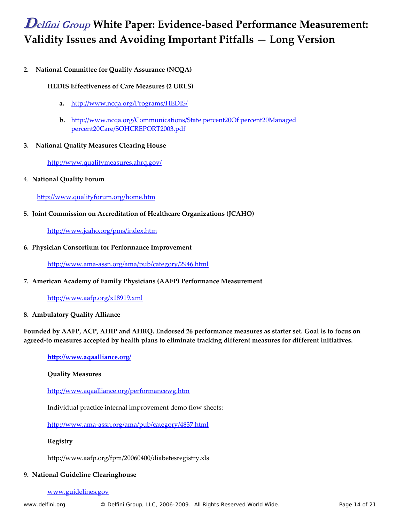**2. National Committee for Quality Assurance (NCQA)** 

### **HEDIS Effectiveness of Care Measures (2 URLS)**

- **a.** http://www.ncqa.org/Programs/HEDIS/
- **b.** http://www.ncqa.org/Communications/State percent20Of percent20Managed percent20Care/SOHCREPORT2003.pdf
- **3. National Quality Measures Clearing House**

http://www.qualitymeasures.ahrq.gov/

4. **National Quality Forum**

http://www.qualityforum.org/home.htm

**5. Joint Commission on Accreditation of Healthcare Organizations (JCAHO)**

http://www.jcaho.org/pms/index.htm

**6. Physician Consortium for Performance Improvement**

http://www.ama‐assn.org/ama/pub/category/2946.html

**7. American Academy of Family Physicians (AAFP) Performance Measurement**

http://www.aafp.org/x18919.xml

**8. Ambulatory Quality Alliance**

### Founded by AAFP, ACP, AHIP and AHRQ. Endorsed 26 performance measures as starter set. Goal is to focus on **agreed‐to measures accepted by health plans to eliminate tracking different measures for different initiatives.**

### **http://www.aqaalliance.org/**

### **Quality Measures**

http://www.aqaalliance.org/performancewg.htm

Individual practice internal improvement demo flow sheets:

http://www.ama‐assn.org/ama/pub/category/4837.html

### **Registry**

http://www.aafp.org/fpm/20060400/diabetesregistry.xls

### **9. National Guideline Clearinghouse**

#### www.guidelines.gov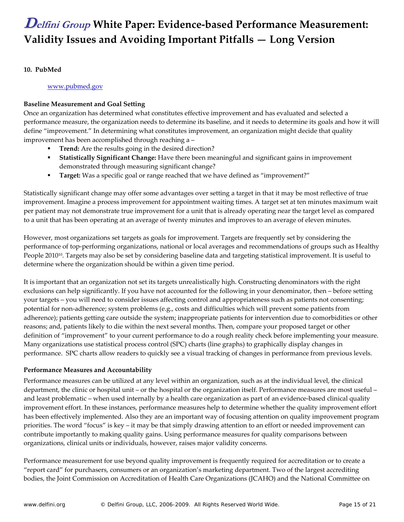### **10. PubMed**

www.pubmed.gov

### **Baseline Measurement and Goal Setting**

Once an organization has determined what constitutes effective improvement and has evaluated and selected a performance measure, the organization needs to determine its baseline, and it needs to determine its goals and how it will define "improvement." In determining what constitutes improvement, an organization might decide that quality improvement has been accomplished through reaching a –

- **Trend:** Are the results going in the desired direction?
- **Statistically Significant Change:** Have there been meaningful and significant gains in improvement demonstrated through measuring significant change?
- **Target:** Was a specific goal or range reached that we have defined as "improvement?"

Statistically significant change may offer some advantages over setting a target in that it may be most reflective of true improvement. Imagine a process improvement for appointment waiting times. A target set at ten minutes maximum wait per patient may not demonstrate true improvement for a unit that is already operating near the target level as compared to a unit that has been operating at an average of twenty minutes and improves to an average of eleven minutes.

However, most organizations set targets as goals for improvement. Targets are frequently set by considering the performance of top‐performing organizations, national or local averages and recommendations of groups such as Healthy People 2010<sup>10</sup>. Targets may also be set by considering baseline data and targeting statistical improvement. It is useful to determine where the organization should be within a given time period.

It is important that an organization not set its targets unrealistically high. Constructing denominators with the right exclusions can help significantly. If you have not accounted for the following in your denominator, then – before setting your targets – you will need to consider issues affecting control and appropriateness such as patients not consenting; potential for non‐adherence; system problems (e.g., costs and difficulties which will prevent some patients from adherence); patients getting care outside the system; inappropriate patients for intervention due to comorbidities or other reasons; and, patients likely to die within the next several months. Then, compare your proposed target or other definition of "improvement" to your current performance to do a rough reality check before implementing your measure. Many organizations use statistical process control (SPC) charts (line graphs) to graphically display changes in performance. SPC charts allow readers to quickly see a visual tracking of changes in performance from previous levels.

### **Performance Measures and Accountability**

Performance measures can be utilized at any level within an organization, such as at the individual level, the clinical department, the clinic or hospital unit – or the hospital or the organization itself. Performance measures are most useful – and least problematic – when used internally by a health care organization as part of an evidence-based clinical quality improvement effort. In these instances, performance measures help to determine whether the quality improvement effort has been effectively implemented. Also they are an important way of focusing attention on quality improvement program priorities. The word "focus" is key – it may be that simply drawing attention to an effort or needed improvement can contribute importantly to making quality gains. Using performance measures for quality comparisons between organizations, clinical units or individuals, however, raises major validity concerns.

Performance measurement for use beyond quality improvement is frequently required for accreditation or to create a "report card" for purchasers, consumers or an organization's marketing department. Two of the largest accrediting bodies, the Joint Commission on Accreditation of Health Care Organizations (JCAHO) and the National Committee on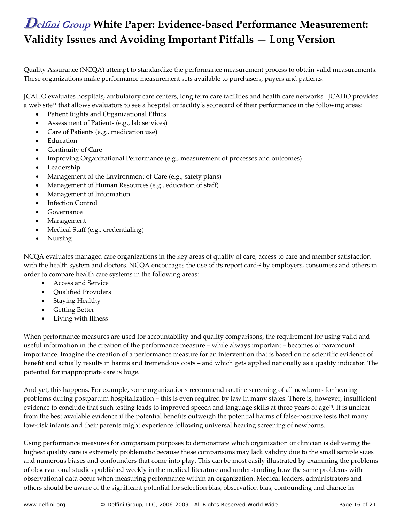Quality Assurance (NCQA) attempt to standardize the performance measurement process to obtain valid measurements. These organizations make performance measurement sets available to purchasers, payers and patients.

JCAHO evaluates hospitals, ambulatory care centers, long term care facilities and health care networks. JCAHO provides a web site<sup>11</sup> that allows evaluators to see a hospital or facility's scorecard of their performance in the following areas:

- Patient Rights and Organizational Ethics
- Assessment of Patients (e.g., lab services)
- Care of Patients (e.g., medication use)
- **Education**
- Continuity of Care
- Improving Organizational Performance (e.g., measurement of processes and outcomes)
- Leadership
- Management of the Environment of Care (e.g., safety plans)
- Management of Human Resources (e.g., education of staff)
- Management of Information
- **Infection Control**
- Governance
- Management
- Medical Staff (e.g., credentialing)
- Nursing

NCQA evaluates managed care organizations in the key areas of quality of care, access to care and member satisfaction with the health system and doctors. NCQA encourages the use of its report card<sup>12</sup> by employers, consumers and others in order to compare health care systems in the following areas:

- Access and Service
- Qualified Providers
- Staying Healthy
- Getting Better
- Living with Illness

When performance measures are used for accountability and quality comparisons, the requirement for using valid and useful information in the creation of the performance measure – while always important – becomes of paramount importance. Imagine the creation of a performance measure for an intervention that is based on no scientific evidence of benefit and actually results in harms and tremendous costs – and which gets applied nationally as a quality indicator. The potential for inappropriate care is huge.

And yet, this happens. For example, some organizations recommend routine screening of all newborns for hearing problems during postpartum hospitalization – this is even required by law in many states. There is, however, insufficient evidence to conclude that such testing leads to improved speech and language skills at three years of age<sup>13</sup>. It is unclear from the best available evidence if the potential benefits outweigh the potential harms of false-positive tests that many low‐risk infants and their parents might experience following universal hearing screening of newborns.

Using performance measures for comparison purposes to demonstrate which organization or clinician is delivering the highest quality care is extremely problematic because these comparisons may lack validity due to the small sample sizes and numerous biases and confounders that come into play. This can be most easily illustrated by examining the problems of observational studies published weekly in the medical literature and understanding how the same problems with observational data occur when measuring performance within an organization. Medical leaders, administrators and others should be aware of the significant potential for selection bias, observation bias, confounding and chance in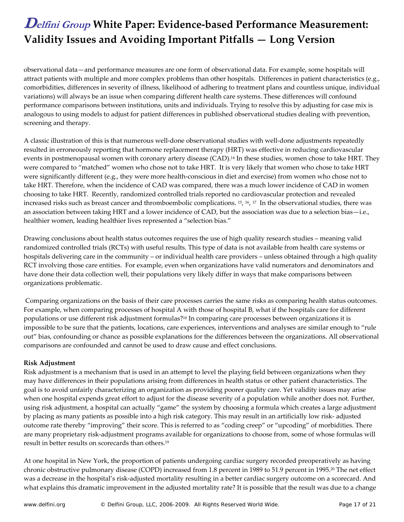observational data—and performance measures are one form of observational data. For example, some hospitals will attract patients with multiple and more complex problems than other hospitals. Differences in patient characteristics (e.g., comorbidities, differences in severity of illness, likelihood of adhering to treatment plans and countless unique, individual variations) will always be an issue when comparing different health care systems. These differences will confound performance comparisons between institutions, units and individuals. Trying to resolve this by adjusting for case mix is analogous to using models to adjust for patient differences in published observational studies dealing with prevention, screening and therapy.

A classic illustration of this is that numerous well-done observational studies with well-done adjustments repeatedly resulted in erroneously reporting that hormone replacement therapy (HRT) was effective in reducing cardiovascular events in postmenopausal women with coronary artery disease (CAD).<sup>14</sup> In these studies, women chose to take HRT. They were compared to "matched" women who chose not to take HRT. It is very likely that women who chose to take HRT were significantly different (e.g., they were more health‐conscious in diet and exercise) from women who chose not to take HRT. Therefore, when the incidence of CAD was compared, there was a much lower incidence of CAD in women choosing to take HRT. Recently, randomized controlled trials reported no cardiovascular protection and revealed increased risks such as breast cancer and thromboembolic complications. 15, 16, <sup>17</sup> In the observational studies, there was an association between taking HRT and a lower incidence of CAD, but the association was due to a selection bias—i.e., healthier women, leading healthier lives represented a "selection bias."

Drawing conclusions about health status outcomes requires the use of high quality research studies – meaning valid randomized controlled trials (RCTs) with useful results. This type of data is not available from health care systems or hospitals delivering care in the community – or individual health care providers – unless obtained through a high quality RCT involving those care entities. For example, even when organizations have valid numerators and denominators and have done their data collection well, their populations very likely differ in ways that make comparisons between organizations problematic.

Comparing organizations on the basis of their care processes carries the same risks as comparing health status outcomes. For example, when comparing processes of hospital A with those of hospital B, what if the hospitals care for different populations or use different risk adjustment formulas?18 In comparing care processes between organizations it is impossible to be sure that the patients, locations, care experiences, interventions and analyses are similar enough to "rule out" bias, confounding or chance as possible explanations for the differences between the organizations. All observational comparisons are confounded and cannot be used to draw cause and effect conclusions.

### **Risk Adjustment**

Risk adjustment is a mechanism that is used in an attempt to level the playing field between organizations when they may have differences in their populations arising from differences in health status or other patient characteristics. The goal is to avoid unfairly characterizing an organization as providing poorer quality care. Yet validity issues may arise when one hospital expends great effort to adjust for the disease severity of a population while another does not. Further, using risk adjustment, a hospital can actually "game" the system by choosing a formula which creates a large adjustment by placing as many patients as possible into a high risk category. This may result in an artificially low risk‐ adjusted outcome rate thereby "improving" their score. This is referred to as "coding creep" or "upcoding" of morbidities. There are many proprietary risk‐adjustment programs available for organizations to choose from, some of whose formulas will result in better results on scorecards than others.19

At one hospital in New York, the proportion of patients undergoing cardiac surgery recorded preoperatively as having chronic obstructive pulmonary disease (COPD) increased from 1.8 percent in 1989 to 51.9 percent in 1995.20 The net effect was a decrease in the hospital's risk‐adjusted mortality resulting in a better cardiac surgery outcome on a scorecard. And what explains this dramatic improvement in the adjusted mortality rate? It is possible that the result was due to a change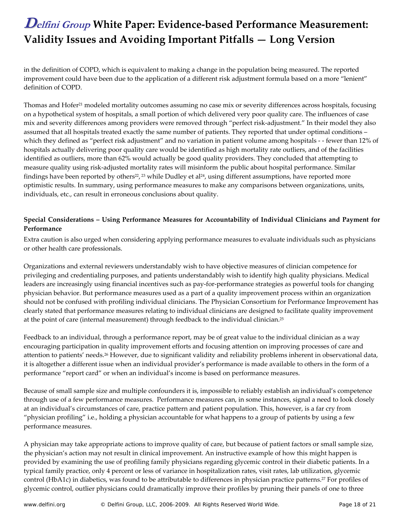in the definition of COPD, which is equivalent to making a change in the population being measured. The reported improvement could have been due to the application of a different risk adjustment formula based on a more "lenient" definition of COPD.

Thomas and Hofer<sup>21</sup> modeled mortality outcomes assuming no case mix or severity differences across hospitals, focusing on a hypothetical system of hospitals, a small portion of which delivered very poor quality care. The influences of case mix and severity differences among providers were removed through "perfect risk-adjustment." In their model they also assumed that all hospitals treated exactly the same number of patients. They reported that under optimal conditions – which they defined as "perfect risk adjustment" and no variation in patient volume among hospitals - - fewer than 12% of hospitals actually delivering poor quality care would be identified as high mortality rate outliers, and of the facilities identified as outliers, more than 62% would actually be good quality providers. They concluded that attempting to measure quality using risk‐adjusted mortality rates will misinform the public about hospital performance. Similar findings have been reported by others<sup>22</sup>,<sup>23</sup> while Dudley et al<sup>24</sup>, using different assumptions, have reported more optimistic results. In summary, using performance measures to make any comparisons between organizations, units, individuals, etc., can result in erroneous conclusions about quality.

### **Special Considerations – Using Performance Measures for Accountability of Individual Clinicians and Payment for Performance**

Extra caution is also urged when considering applying performance measures to evaluate individuals such as physicians or other health care professionals.

Organizations and external reviewers understandably wish to have objective measures of clinician competence for privileging and credentialing purposes, and patients understandably wish to identify high quality physicians. Medical leaders are increasingly using financial incentives such as pay‐for‐performance strategies as powerful tools for changing physician behavior. But performance measures used as a part of a quality improvement process within an organization should not be confused with profiling individual clinicians. The Physician Consortium for Performance Improvement has clearly stated that performance measures relating to individual clinicians are designed to facilitate quality improvement at the point of care (internal measurement) through feedback to the individual clinician.25

Feedback to an individual, through a performance report, may be of great value to the individual clinician as a way encouraging participation in quality improvement efforts and focusing attention on improving processes of care and attention to patients' needs.26 However, due to significant validity and reliability problems inherent in observational data, it is altogether a different issue when an individual provider's performance is made available to others in the form of a performance "report card" or when an individual's income is based on performance measures.

Because of small sample size and multiple confounders it is, impossible to reliably establish an individual's competence through use of a few performance measures. Performance measures can, in some instances, signal a need to look closely at an individual's circumstances of care, practice pattern and patient population. This, however, is a far cry from "physician profiling" i.e., holding a physician accountable for what happens to a group of patients by using a few performance measures.

A physician may take appropriate actions to improve quality of care, but because of patient factors or small sample size, the physician's action may not result in clinical improvement. An instructive example of how this might happen is provided by examining the use of profiling family physicians regarding glycemic control in their diabetic patients. In a typical family practice, only 4 percent or less of variance in hospitalization rates, visit rates, lab utilization, glycemic control (HbA1c) in diabetics, was found to be attributable to differences in physician practice patterns.27 For profiles of glycemic control, outlier physicians could dramatically improve their profiles by pruning their panels of one to three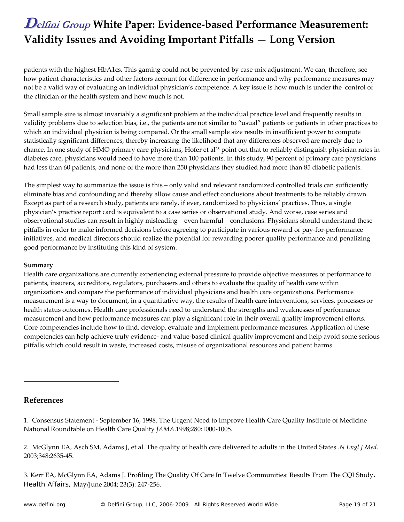patients with the highest HbA1cs. This gaming could not be prevented by case‐mix adjustment. We can, therefore, see how patient characteristics and other factors account for difference in performance and why performance measures may not be a valid way of evaluating an individual physician's competence. A key issue is how much is under the control of the clinician or the health system and how much is not.

Small sample size is almost invariably a significant problem at the individual practice level and frequently results in validity problems due to selection bias, i.e., the patients are not similar to "usual" patients or patients in other practices to which an individual physician is being compared. Or the small sample size results in insufficient power to compute statistically significant differences, thereby increasing the likelihood that any differences observed are merely due to chance. In one study of HMO primary care physicians, Hofer et al<sup>25</sup> point out that to reliably distinguish physician rates in diabetes care, physicians would need to have more than 100 patients. In this study, 90 percent of primary care physicians had less than 60 patients, and none of the more than 250 physicians they studied had more than 85 diabetic patients.

The simplest way to summarize the issue is this – only valid and relevant randomized controlled trials can sufficiently eliminate bias and confounding and thereby allow cause and effect conclusions about treatments to be reliably drawn. Except as part of a research study, patients are rarely, if ever, randomized to physicians' practices. Thus, a single physician's practice report card is equivalent to a case series or observational study. And worse, case series and observational studies can result in highly misleading – even harmful – conclusions. Physicians should understand these pitfalls in order to make informed decisions before agreeing to participate in various reward or pay‐for‐performance initiatives, and medical directors should realize the potential for rewarding poorer quality performance and penalizing good performance by instituting this kind of system.

### **Summary**

Health care organizations are currently experiencing external pressure to provide objective measures of performance to patients, insurers, accreditors, regulators, purchasers and others to evaluate the quality of health care within organizations and compare the performance of individual physicians and health care organizations. Performance measurement is a way to document, in a quantitative way, the results of health care interventions, services, processes or health status outcomes. Health care professionals need to understand the strengths and weaknesses of performance measurement and how performance measures can play a significant role in their overall quality improvement efforts. Core competencies include how to find, develop, evaluate and implement performance measures. Application of these competencies can help achieve truly evidence- and value-based clinical quality improvement and help avoid some serious pitfalls which could result in waste, increased costs, misuse of organizational resources and patient harms.

### **References**

 $\overline{a}$ 

1. Consensus Statement ‐ September 16, 1998. The Urgent Need to Improve Health Care Quality Institute of Medicine National Roundtable on Health Care Quality *JAMA*.1998;280:1000‐1005.

2. McGlynn EA, Asch SM, Adams J, et al. The quality of health care delivered to adults in the United States .*N Engl J Med*. 2003;348:2635‐45.

3. Kerr EA, McGlynn EA, Adams J. Profiling The Quality Of Care In Twelve Communities: Results From The CQI Study**.** *Health Affairs*, May/June 2004; 23(3): 247‐256.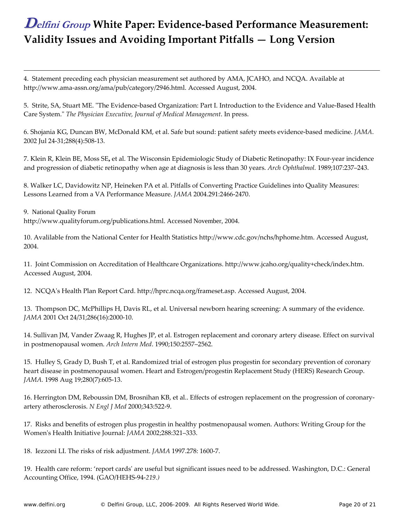4. Statement preceding each physician measurement set authored by AMA, JCAHO, and NCQA. Available at http://www.ama‐assn.org/ama/pub/category/2946.html. Accessed August, 2004.

5. Strite, SA, Stuart ME. "The Evidence-based Organization: Part I. Introduction to the Evidence and Value-Based Health Care System.ʺ *The Physician Executive, Journal of Medical Management*. In press.

6. Shojania KG, Duncan BW, McDonald KM, et al. Safe but sound: patient safety meets evidence‐based medicine. *JAMA*. 2002 Jul 24‐31;288(4):508‐13.

7. Klein R, Klein BE, Moss SE**,** et al. The Wisconsin Epidemiologic Study of Diabetic Retinopathy: IX Four‐year incidence and progression of diabetic retinopathy when age at diagnosis is less than 30 years. *Arch Ophthalmol.* 1989;107:237–243.

8. Walker LC, Davidowitz NP, Heineken PA et al. Pitfalls of Converting Practice Guidelines into Quality Measures: Lessons Learned from a VA Performance Measure. *JAMA* 2004.291:2466‐2470.

9. National Quality Forum

 $\overline{a}$ 

http://www.qualityforum.org/publications.html. Accessed November, 2004.

10. Avalilable from the National Center for Health Statistics http://www.cdc.gov/nchs/hphome.htm. Accessed August, 2004.

11. Joint Commission on Accreditation of Healthcare Organizations. http://www.jcaho.org/quality+check/index.htm. Accessed August, 2004.

12. NCQAʹs Health Plan Report Card. http://hprc.ncqa.org/frameset.asp. Accessed August, 2004.

13. Thompson DC, McPhillips H, Davis RL, et al. Universal newborn hearing screening: A summary of the evidence. *JAMA* 2001 Oct 24/31;286(16):2000‐10.

14. Sullivan JM, Vander Zwaag R, Hughes JP, et al. Estrogen replacement and coronary artery disease. Effect on survival in postmenopausal women. *Arch Intern Med*. 1990;150:2557–2562.

15. Hulley S, Grady D, Bush T, et al. Randomized trial of estrogen plus progestin for secondary prevention of coronary heart disease in postmenopausal women. Heart and Estrogen/progestin Replacement Study (HERS) Research Group. *JAMA.* 1998 Aug 19;280(7):605‐13.

16. Herrington DM, Reboussin DM, Brosnihan KB, et al.. Effects of estrogen replacement on the progression of coronary‐ artery atherosclerosis. *N Engl J Med* 2000;343:522‐9.

17. Risks and benefits of estrogen plus progestin in healthy postmenopausal women. Authors: Writing Group for the Womenʹs Health Initiative Journal: *JAMA* 2002;288:321–333.

18. Iezzoni LI. The risks of risk adjustment. *JAMA* 1997.278: 1600‐7.

19. Health care reform: 'report cardsʹ are useful but significant issues need to be addressed. Washington, D.C.: General Accounting Office, 1994. (GAO/HEHS‐94‐*219.)*